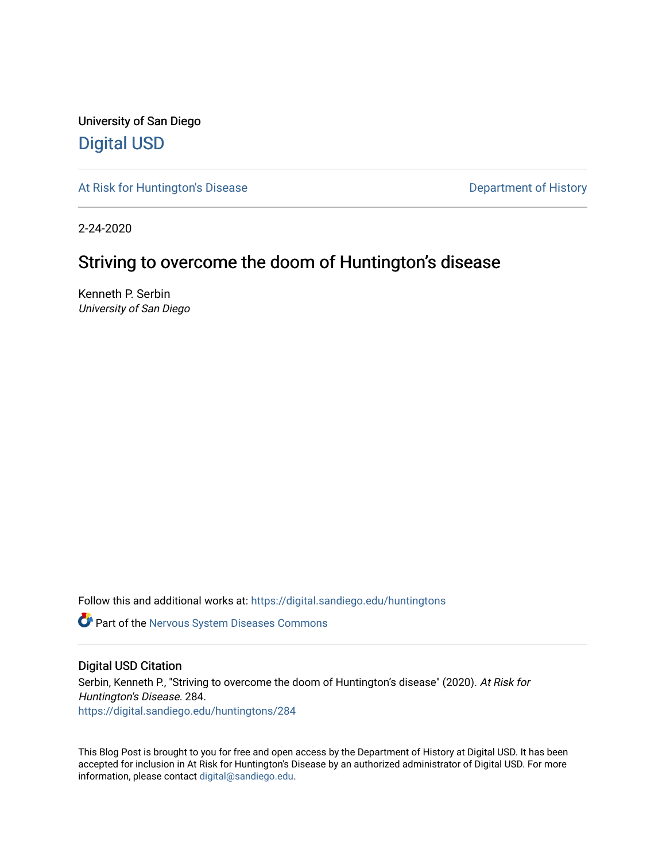University of San Diego [Digital USD](https://digital.sandiego.edu/)

[At Risk for Huntington's Disease](https://digital.sandiego.edu/huntingtons) **Department of History** Department of History

2-24-2020

# Striving to overcome the doom of Huntington's disease

Kenneth P. Serbin University of San Diego

Follow this and additional works at: [https://digital.sandiego.edu/huntingtons](https://digital.sandiego.edu/huntingtons?utm_source=digital.sandiego.edu%2Fhuntingtons%2F284&utm_medium=PDF&utm_campaign=PDFCoverPages)

**Part of the [Nervous System Diseases Commons](http://network.bepress.com/hgg/discipline/928?utm_source=digital.sandiego.edu%2Fhuntingtons%2F284&utm_medium=PDF&utm_campaign=PDFCoverPages)** 

### Digital USD Citation

Serbin, Kenneth P., "Striving to overcome the doom of Huntington's disease" (2020). At Risk for Huntington's Disease. 284. [https://digital.sandiego.edu/huntingtons/284](https://digital.sandiego.edu/huntingtons/284?utm_source=digital.sandiego.edu%2Fhuntingtons%2F284&utm_medium=PDF&utm_campaign=PDFCoverPages)

This Blog Post is brought to you for free and open access by the Department of History at Digital USD. It has been accepted for inclusion in At Risk for Huntington's Disease by an authorized administrator of Digital USD. For more information, please contact [digital@sandiego.edu.](mailto:digital@sandiego.edu)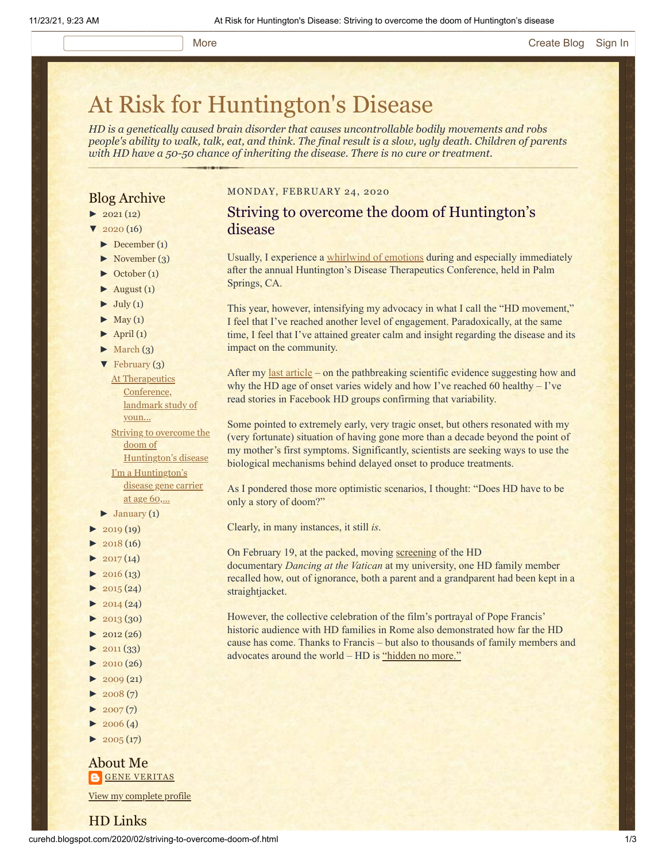# [At Risk for Huntington's Disease](http://curehd.blogspot.com/)

*HD is a genetically caused brain disorder that causes uncontrollable bodily movements and robs people's ability to walk, talk, eat, and think. The final result is a slow, ugly death. Children of parents with HD have a 50-50 chance of inheriting the disease. There is no cure or treatment.*

## Blog Archive

- $\blacktriangleright$  [2021](http://curehd.blogspot.com/2021/) (12)
- $2020(16)$  $2020(16)$
- $\blacktriangleright$  [December](http://curehd.blogspot.com/2020/12/) (1)
- [►](javascript:void(0)) [November](http://curehd.blogspot.com/2020/11/) (3)
- [►](javascript:void(0)) [October](http://curehd.blogspot.com/2020/10/) (1)
- $\blacktriangleright$  [August](http://curehd.blogspot.com/2020/08/) (1)
- $\blacktriangleright$  [July](http://curehd.blogspot.com/2020/07/) (1)
- $\blacktriangleright$  [May](http://curehd.blogspot.com/2020/05/) (1)
- $\blacktriangleright$  [April](http://curehd.blogspot.com/2020/04/) (1)
- $\blacktriangleright$  [March](http://curehd.blogspot.com/2020/03/)  $(3)$
- [▼](javascript:void(0)) [February](http://curehd.blogspot.com/2020/02/) (3)

At [Therapeutics](http://curehd.blogspot.com/2020/02/at-therapeutics-conference-landmark.html) Conference, landmark study of youn... Striving to overcome the doom of [Huntington's](http://curehd.blogspot.com/2020/02/striving-to-overcome-doom-of.html) disease I'm a [Huntington's](http://curehd.blogspot.com/2020/02/im-huntingtons-disease-gene-carrier-at.html) disease gene carrier

at age 60,...

- $\blacktriangleright$  [January](http://curehd.blogspot.com/2020/01/) (1)
- $2019(19)$  $2019(19)$
- $2018(16)$  $2018(16)$
- $2017(14)$  $2017(14)$
- $\blacktriangleright$  [2016](http://curehd.blogspot.com/2016/) (13)
- $\blacktriangleright$  [2015](http://curehd.blogspot.com/2015/) (24)
- $\blacktriangleright$  [2014](http://curehd.blogspot.com/2014/) (24)
- $\blacktriangleright$  [2013](http://curehd.blogspot.com/2013/) (30)
- $\blacktriangleright$  [2012](http://curehd.blogspot.com/2012/) (26)
- $\blacktriangleright$  [2011](http://curehd.blogspot.com/2011/) (33)
- $\blacktriangleright$  [2010](http://curehd.blogspot.com/2010/) (26)
- $-2009(21)$  $-2009(21)$  $-2009(21)$
- $\blacktriangleright$  [2008](http://curehd.blogspot.com/2008/) $(7)$
- $\blacktriangleright$  [2007](http://curehd.blogspot.com/2007/) $(7)$
- $\blacktriangleright$  [2006](http://curehd.blogspot.com/2006/) (4)
- $\blacktriangleright$  [2005](http://curehd.blogspot.com/2005/) (17)

### About Me **GENE [VERITAS](https://www.blogger.com/profile/10911736205741688185)**

View my [complete](https://www.blogger.com/profile/10911736205741688185) profile

HD Links

#### MONDAY, FEBRUARY 24, 2020

# Striving to overcome the doom of Huntington's disease

Usually, I experience a [whirlwind of emotions](http://curehd.blogspot.com/2019/03/we-can-now-fear-huntingtons-disease.html) during and especially immediately after the annual Huntington's Disease Therapeutics Conference, held in Palm Springs, CA.

This year, however, intensifying my advocacy in what I call the "HD movement," I feel that I've reached another level of engagement. Paradoxically, at the same time, I feel that I've attained greater calm and insight regarding the disease and its impact on the community.

After my <u>[last article](http://curehd.blogspot.com/2020/02/im-huntingtons-disease-gene-carrier-at.html)</u> – on the pathbreaking scientific evidence suggesting how and why the HD age of onset varies widely and how I've reached 60 healthy – I've read stories in Facebook HD groups confirming that variability.

Some pointed to extremely early, very tragic onset, but others resonated with my (very fortunate) situation of having gone more than a decade beyond the point of my mother's first symptoms. Significantly, scientists are seeking ways to use the biological mechanisms behind delayed onset to produce treatments.

As I pondered those more optimistic scenarios, I thought: "Does HD have to be only a story of doom?"

Clearly, in many instances, it still *is*.

On February 19, at the packed, moving [screening](https://www.sandiego.edu/news/detail.php?_focus=75539&fbclid=IwAR3D4y4ybv5srfsXRoUIKcPjIX97TIGLf0233YQF3vAnJE2WaZq-NjvY50Y) of the HD documentary *Dancing at the Vatican* at my university, one HD family member recalled how, out of ignorance, both a parent and a grandparent had been kept in a straightjacket.

However, the collective celebration of the film's portrayal of Pope Francis' historic audience with HD families in Rome also demonstrated how far the HD cause has come. Thanks to Francis – but also to thousands of family members and advocates around the world – HD is ["hidden no more."](https://hddennomore.com/)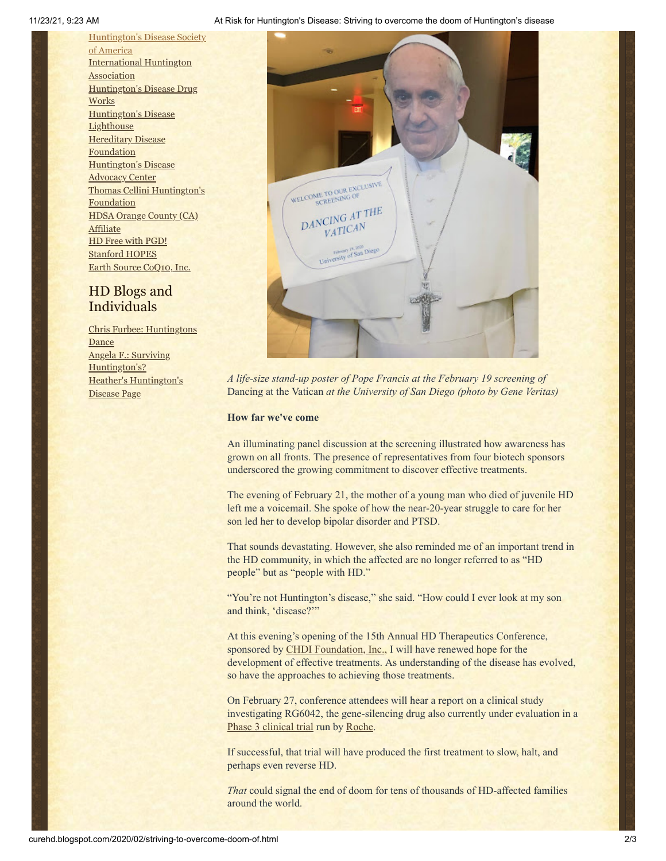11/23/21, 9:23 AM At Risk for Huntington's Disease: Striving to overcome the doom of Huntington's disease

[Huntington's](http://www.hdsa.org/) Disease Society of America [International](http://www.huntington-assoc.com/) Huntington **Association** [Huntington's](http://hddrugworks.org/) Disease Drug **Works** [Huntington's](http://www.hdlighthouse.org/) Disease **Lighthouse [Hereditary](http://www.hdfoundation.org/) Disease** Foundation [Huntington's](http://www.hdac.org/) Disease Advocacy Center Thomas [Cellini Huntington's](http://www.ourtchfoundation.org/) **Foundation** HDSA Orange County (CA) **[Affiliate](http://www.hdsaoc.org/)** HD Free with [PGD!](http://www.hdfreewithpgd.com/) [Stanford](http://www.stanford.edu/group/hopes/) HOPES Earth Source [CoQ10,](http://www.escoq10.com/) Inc.

# HD Blogs and Individuals

Chris Furbee: [Huntingtons](http://www.huntingtonsdance.org/) **Dance** Angela F.: Surviving [Huntington's?](http://survivinghuntingtons.blogspot.com/) Heather's [Huntington's](http://heatherdugdale.angelfire.com/) Disease Page



*A life-size stand-up poster of Pope Francis at the February 19 screening of* Dancing at the Vatican *at the University of San Diego (photo by Gene Veritas)*

#### **How far we've come**

An illuminating panel discussion at the screening illustrated how awareness has grown on all fronts. The presence of representatives from four biotech sponsors underscored the growing commitment to discover effective treatments.

The evening of February 21, the mother of a young man who died of juvenile HD left me a voicemail. She spoke of how the near-20-year struggle to care for her son led her to develop bipolar disorder and PTSD.

That sounds devastating. However, she also reminded me of an important trend in the HD community, in which the affected are no longer referred to as "HD people" but as "people with HD."

"You're not Huntington's disease," she said. "How could I ever look at my son and think, 'disease?'"

At this evening's opening of the 15th Annual HD Therapeutics Conference, sponsored by [CHDI Foundation, Inc.,](https://chdifoundation.org/) I will have renewed hope for the development of effective treatments. As understanding of the disease has evolved, so have the approaches to achieving those treatments.

On February 27, conference attendees will hear a report on a clinical study investigating RG6042, the gene-silencing drug also currently under evaluation in a [Phase 3 clinical trial](https://vimeo.com/372696995) run by [Roche](https://www.roche.com/).

If successful, that trial will have produced the first treatment to slow, halt, and perhaps even reverse HD.

*That* could signal the end of doom for tens of thousands of HD-affected families around the world.